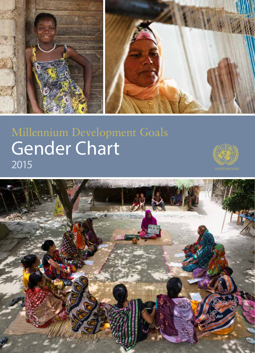

# Gender Chart Chart Millennium Development Goals



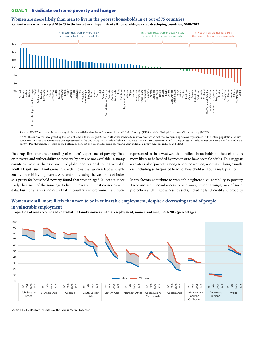## GOAL 1 | Eradicate extreme poverty and hunger



**Women are more likely than men to live in the poorest households in 41 out of 75 countries Ratio of women to men aged 20 to 59 in the lowest wealth quintile of all households, selected developing countries, 2000-2013**

Source: UN Women calculations using the latest available data from Demographic and Health Surveys (DHS) and the Multiple Indicator Cluster Survey (MICS).

NorE: This indicator is weighted by the ratio of female to male aged 20-59 in all households to take into account the fact that women may be overrepresented in the entire population. Values above 103 indicate that women are overrepresented in the poorest quintile. Values below 97 indicate that men are overrepresented in the poorest quintile. Values between 97 and 103 indicate parity. "Poor households" refers to the bottom 20 per cent of households, using the wealth asset index as a proxy measure in DHS and MICS.

Data gaps limit our understanding of women's experience of poverty. Data on poverty and vulnerability to poverty by sex are not available in many countries, making the assessment of global and regional trends very difficult. Despite such limitations, research shows that women face a heightened vulnerability to poverty. A recent study using the wealth asset index as a proxy for household poverty found that women aged 20–59 are more likely than men of the same age to live in poverty in most countries with data. Further analysis indicates that in countries where women are over-

represented in the lowest wealth quintile of households, the households are more likely to be headed by women or to have no male adults. This suggests a greater risk of poverty among separated women, widows and single mothers, including self-reported heads of household without a male partner.

Many factors contribute to women's heightened vulnerability to poverty. These include unequal access to paid work, lower earnings, lack of social protection and limited access to assets, including land, credit and property.

# **Women are still more likely than men to be in vulnerable employment, despite a decreasing trend of people in vulnerable employment**

**Proportion of own account and contributing family workers in total employment, women and men, 1991-2015 (percentage)**



Source: ILO, 2015 (Key Indicators of the Labour Market Database).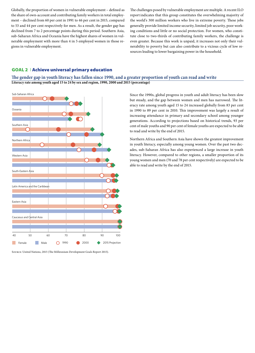Globally, the proportion of women in vulnerable employment – defined as the share of own-account and contributing family workers in total employment – declined from 60 per cent in 1991 to 46 per cent in 2015, compared to 53 and 44 per cent respectively for men. As a result, the gender gap has declined from 7 to 2 percentage points during this period. Southern Asia, sub-Saharan Africa and Oceania have the highest shares of women in vulnerable employment with more than 4 in 5 employed women in those regions in vulnerable employment.

The challenges posed by vulnerable employment are multiple. A recent ILO report indicates that this group constitutes the overwhelming majority of the world's 300 million workers who live in extreme poverty. These jobs generally provide limited income security, limited job security, poor working conditions and little or no social protection. For women, who constitute close to two-thirds of contributing family workers, the challenge is even greater. Because this work is unpaid, it increases not only their vulnerability to poverty but can also contribute to a vicious cycle of low resources leading to lower bargaining power in the household.

# GOAL 2 | Achieve universal primary education

# **The gender gap in youth literacy has fallen since 1990, and a greater proportion of youth can read and write Literacy rate among youth aged 15 to 24 by sex and region, 1990, 2000 and 2015 (percentage)**



Source: United Nations, 2015 (The Millennium Development Goals Report 2015).

Since the 1990s, global progress in youth and adult literacy has been slow but steady, and the gap between women and men has narrowed. The literacy rate among youth aged 15 to 24 increased globally from 83 per cent in 1990 to 89 per cent in 2010. This improvement was largely a result of increasing attendance in primary and secondary school among younger generations. According to projections based on historical trends, 93 per cent of male youths and 90 per cent of female youths are expected to be able to read and write by the end of 2015.

Northern Africa and Southern Asia have shown the greatest improvement in youth literacy, especially among young women. Over the past two decades, sub-Saharan Africa has also experienced a large increase in youth literacy. However, compared to other regions, a smaller proportion of its young women and men (70 and 78 per cent respectively) are expected to be able to read and write by the end of 2015.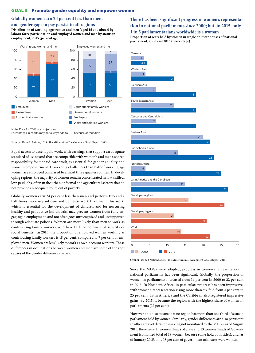## GOAL 3 Promote gender equality and empower women

## **Globally women earn 24 per cent less than men,**

## **and gender gaps in pay persist in all regions**

**Distribution of working-age women and men (aged 15 and above) by labour force participation and employed women and men by status in employment, 2015 (percentage)**



Percentages in charts may not always add to 100 because of rounding.

Source: United Nations, 2015 (The Millennium Development Goals Report 2015).

Equal access to decent paid work, with earnings that support an adequate standard of living and that are compatible with women's and men's shared responsibility for unpaid care work, is essential for gender equality and women's empowerment. However, globally, less than half of working age women are employed compared to almost three quarters of men. In developing regions, the majority of women remain concentrated in low-skilled, low-paid jobs, often in the urban, informal and agricultural sectors that do not provide an adequate route out of poverty.

Globally women earn 24 per cent less than men and perform two and a half times more unpaid care and domestic work than men. This work, which is essential for the development of children and for nurturing healthy and productive individuals, may prevent women from fully engaging in employment, and too often goes unrecognized and unsupported through adequate policies. Women are more likely than men to work as contributing family workers, who have little or no financial security or social benefits. In 2015, the proportion of employed women working as contributing family workers is 18 per cent, compared to 7 per cent of employed men. Women are less likely to work as own-account workers. These differences in occupations between women and men are some of the root causes of the gender differences in pay.

# **There has been significant progress in women's representation in national parliaments since 2000; but, in 2015, only 1 in 5 parliamentarians worldwide is a woman**

**Proportion of seats held by women in single or lower houses of national parliament, 2000 and 2015 (percentage)**



Source: United Nations, 2015 (The Millennium Development Goals Report 2015).

Since the MDGs were adopted, progress in women's representation in national parliaments has been significant. Globally, the proportion of women in parliaments increased from 14 per cent in 2000 to 22 per cent in 2015. In Northern Africa, in particular, progress has been impressive, with women's representation rising more than six-fold from 4 per cent to 25 per cent. Latin America and the Caribbean also registered impressive gains. By 2015, it became the region with the highest share of women in parliaments (27 per cent).

However, this also means that no region has more than one third of seats in parliament held by women. Similarly, gender differences are also persistent in other areas of decision-making not monitored by the MDGs: as of August 2015, there were 11 women Heads of State and 13 women Heads of Government (combined total of 19 women, because some hold both titles), and, as of January 2015, only 18 per cent of government ministers were women.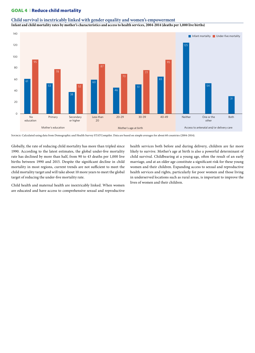# GOAL 4 Reduce child mortality

### **Child survival is inextricably linked with gender equality and women's empowerment**

**Infant and child mortality rates by mother's characteristics and access to health services, 2004-2014 (deaths per 1,000 live births)**



Source: Calculated using data from Demographic and Health Survey STATCompiler. Data are based on simple averages for about 60 countries (2004-2014).

Globally, the rate of reducing child mortality has more than tripled since 1990. According to the latest estimates, the global under-five mortality rate has declined by more than half, from 90 to 43 deaths per 1,000 live births between 1990 and 2015. Despite the significant decline in child mortality in most regions, current trends are not sufficient to meet the child mortality target and will take about 10 more years to meet the global target of reducing the under-five mortality rate.

Child health and maternal health are inextricably linked. When women are educated and have access to comprehensive sexual and reproductive health services both before and during delivery, children are far more likely to survive. Mother's age at birth is also a powerful determinant of child survival. Childbearing at a young age, often the result of an early marriage, and at an older age constitute a significant risk for these young women and their children. Expanding access to sexual and reproductive health services and rights, particularly for poor women and those living in underserved locations such as rural areas, is important to improve the lives of women and their children.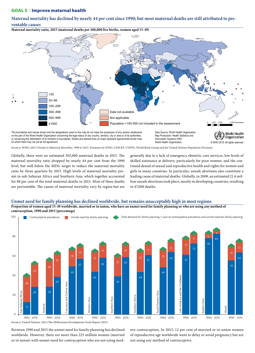### GOAL 5 | Improve maternal health

**Maternal mortality has declined by nearly 44 per cent since 1990; but most maternal deaths are still attributed to preventable causes**

**Maternal mortality ratio, 2015 (maternal deaths per 100,000 live births, women aged 15-49)**



on the part of the World Health Organization concerning the legal status of any country, territory, city or area or of its authorities, or concerning the delimitation of its frontiers or boundaries. Dotted and dashed lines on maps represent approximate border lines for which there may not yet be full agreement. The may not yet be full agreement. Comparison of the state of the state of the state of the state of the state of the state of the state of the state of the state of the state

Map Production: Health Statistics and Information Systems (HSI) World Health Organization

**Organization** 

Source: WHO, 2015 (Trends in Maternal Mortality: 1990 to 2015. Estimates by WHO, UNICEF, UNFPA, World Bank Group and the United Nations Population Division).

Globally, there were an estimated 303,000 maternal deaths in 2015. The maternal mortality ratio dropped by nearly 44 per cent from the 1990 level, but well below the MDG target to reduce the maternal mortality ratio by three quarters by 2015. High levels of maternal mortality persist in sub-Saharan Africa and Southern Asia, which together accounted for 88 per cent of the total maternal deaths in 2015. Most of these deaths are preventable. The causes of maternal mortality vary by region but are

generally due to a lack of emergency obstetric care services, low levels of skilled assistance at delivery, particularly for poor women, and the continued denial of sexual and reproductive health and rights for women and girls in many countries. In particular, unsafe abortions also constitute a leading cause of maternal deaths. Globally, in 2008, an estimated 21.6 million unsafe abortions took place, mostly in developing countries, resulting in 47,000 deaths.

#### **Unmet need for family planning has declined worldwide, but remains unacceptably high in most regions Proportion of women aged 15-49 worldwide, married or in union, who have an unmet need for family planning or who are using any method of contraception, 1990 and 2015 (percentage)**



Between 1990 and 2015 the unmet need for family planning has declined worldwide. However, there are more than 225 million women (married or in union) with unmet need for contraception who are not using modern contraception. In 2015, 12 per cent of married or in-union women of reproductive age worldwide want to delay or avoid pregnancy but are not using any method of contraceptive.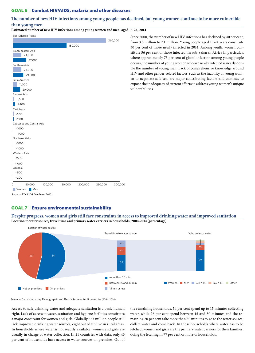## GOAL 6 ❘ Combat HIV/AIDS, malaria and other diseases

# **The number of new HIV infections among young people has declined, but young women continue to be more vulnerable than young men**

**Estimated number of new HIV infections among young women and men, aged 15-24, 2014**

# $3200$  $< 1000$ <1000 1,000  $|2,100$  $15,400$ 20,000 29,000 37,000 150,000  $5500$ <500  $<sub>1000</sub>$ </sub> <1000 2,200 3,600 11,000 24,000 24,000 260,000 0 50,000 100,000 150,000 200,000 250,000 300,000 Oceania Western Asia Northern Africa Caucasus and Central Asia **Caribbean** Eastern Asia Latin America Southern Asia South-eastern Asia Sub-Saharan Africa Women Men Source: UNAIDS Database, 2015.

Since 2000, the number of new HIV infections has declined by 40 per cent, from 3.5 million to 2.1 million. Young people aged 15-24 years constitute 30 per cent of those newly infected in 2014. Among youth, women constitute 56 per cent of those infected. In sub-Saharan Africa in particular, where approximately 75 per cent of global infection among young people occurs, the number of young women who are newly infected is nearly double the number of young men. Lack of comprehensive knowledge around HIV and other gender-related factors, such as the inability of young women to negotiate safe sex, are major contributing factors and continue to expose the inadequacy of current efforts to address young women's unique vulnerabilities.

# GOAL 7 | Ensure environmental sustainability



**Despite progress, women and girls still face constraints in access to improved drinking water and improved sanitation Location to water source, travel time and primary water carriers in households, 2004-2014 (percentage)**

Source: Calculated using Demographic and Health Surveys for 21 countries (2004-2014).

Access to safe drinking water and adequate sanitation is a basic human right. Lack of access to water, sanitation and hygiene facilities constitutes a major constraint for women and girls. Globally 663 million people still lack improved drinking water sources; eight out of ten live in rural areas. In households where water is not readily available, women and girls are usually in charge of water collection. In 21 countries with data, only 46 per cent of households have access to water sources on premises. Out of the remaining households, 54 per cent spend up to 15 minutes collecting water, while 26 per cent spend between 15 and 30 minutes and the remaining 20 per cent take more than 30 minutes to go to the water source, collect water and come back. In those households where water has to be fetched, women and girls are the primary water carriers for their families, doing the fetching in 77 per cent or more of households.